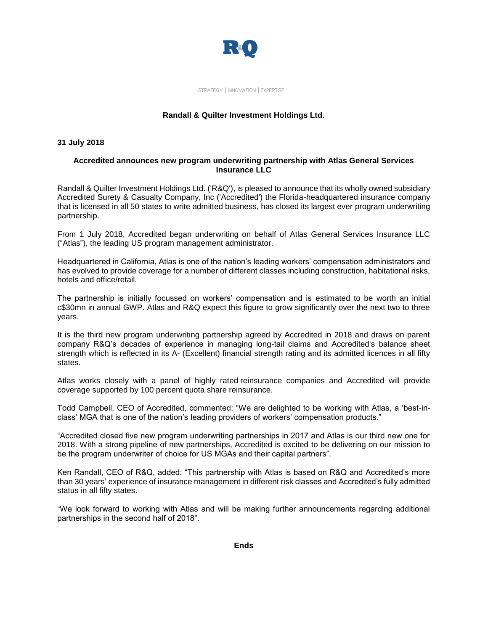

STRATEGY | INNOVATION | EXPERTISE

### **Randall & Quilter Investment Holdings Ltd.**

#### **31 July 2018**

#### **Accredited announces new program underwriting partnership with Atlas General Services Insurance LLC**

Randall & Quilter Investment Holdings Ltd. ('R&Q'), is pleased to announce that its wholly owned subsidiary Accredited Surety & Casualty Company, Inc ('Accredited') the Florida-headquartered insurance company that is licensed in all 50 states to write admitted business, has closed its largest ever program underwriting partnership.

From 1 July 2018, Accredited began underwriting on behalf of Atlas General Services Insurance LLC ("Atlas"), the leading US program management administrator.

Headquartered in California, Atlas is one of the nation's leading workers' compensation administrators and has evolved to provide coverage for a number of different classes including construction, habitational risks, hotels and office/retail.

The partnership is initially focussed on workers' compensation and is estimated to be worth an initial c\$30mn in annual GWP. Atlas and R&Q expect this figure to grow significantly over the next two to three years.

It is the third new program underwriting partnership agreed by Accredited in 2018 and draws on parent company R&Q's decades of experience in managing long-tail claims and Accredited's balance sheet strength which is reflected in its A- (Excellent) financial strength rating and its admitted licences in all fifty states.

Atlas works closely with a panel of highly rated reinsurance companies and Accredited will provide coverage supported by 100 percent quota share reinsurance.

Todd Campbell, CEO of Accredited, commented: "We are delighted to be working with Atlas, a 'best-inclass' MGA that is one of the nation's leading providers of workers' compensation products."

"Accredited closed five new program underwriting partnerships in 2017 and Atlas is our third new one for 2018. With a strong pipeline of new partnerships, Accredited is excited to be delivering on our mission to be the program underwriter of choice for US MGAs and their capital partners".

Ken Randall, CEO of R&Q, added: "This partnership with Atlas is based on R&Q and Accredited's more than 30 years' experience of insurance management in different risk classes and Accredited's fully admitted status in all fifty states.

"We look forward to working with Atlas and will be making further announcements regarding additional partnerships in the second half of 2018".